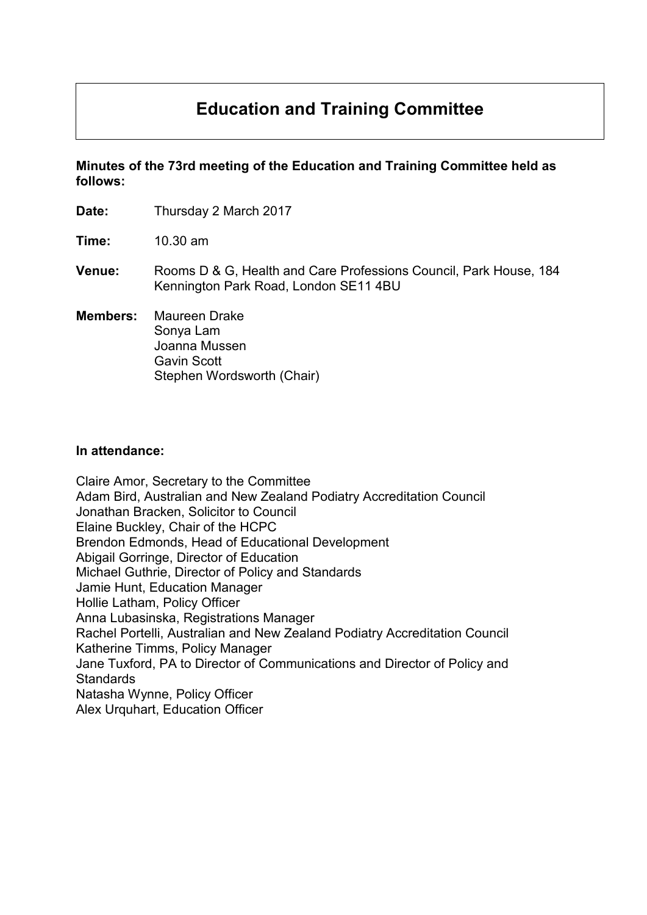# **Education and Training Committee**

**Minutes of the 73rd meeting of the Education and Training Committee held as follows:**

| Date:           | Thursday 2 March 2017                                                                                      |
|-----------------|------------------------------------------------------------------------------------------------------------|
| Time:           | $10.30$ am                                                                                                 |
| <b>Venue:</b>   | Rooms D & G, Health and Care Professions Council, Park House, 184<br>Kennington Park Road, London SE11 4BU |
| <b>Members:</b> | Maureen Drake<br>Sonya Lam<br>Joanna Mussen<br><b>Gavin Scott</b><br>Stephen Wordsworth (Chair)            |

#### **In attendance:**

Claire Amor, Secretary to the Committee Adam Bird, Australian and New Zealand Podiatry Accreditation Council Jonathan Bracken, Solicitor to Council Elaine Buckley, Chair of the HCPC Brendon Edmonds, Head of Educational Development Abigail Gorringe, Director of Education Michael Guthrie, Director of Policy and Standards Jamie Hunt, Education Manager Hollie Latham, Policy Officer Anna Lubasinska, Registrations Manager Rachel Portelli, Australian and New Zealand Podiatry Accreditation Council Katherine Timms, Policy Manager Jane Tuxford, PA to Director of Communications and Director of Policy and **Standards** Natasha Wynne, Policy Officer Alex Urquhart, Education Officer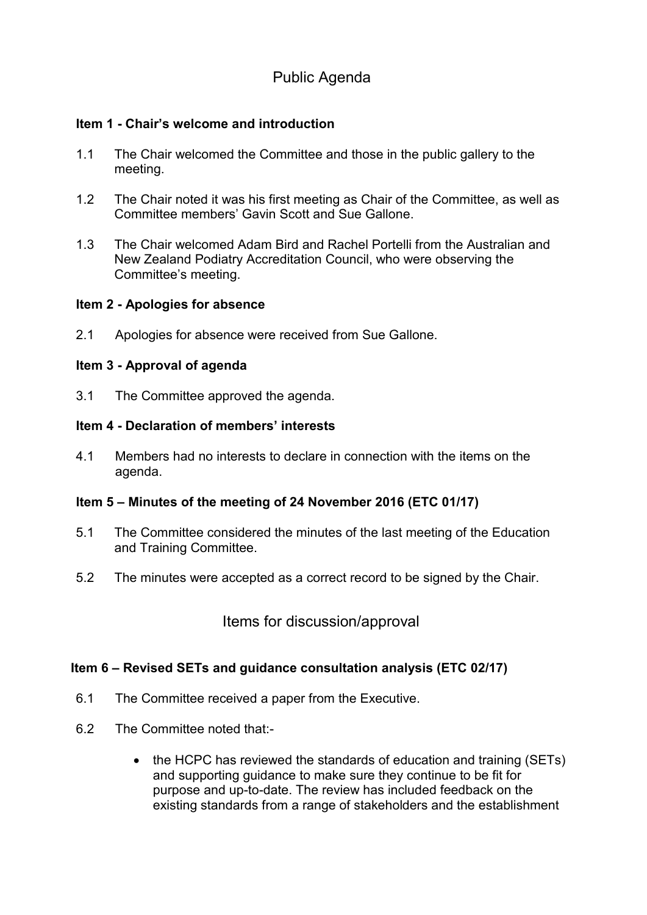# Public Agenda

### **Item 1 - Chair's welcome and introduction**

- 1.1 The Chair welcomed the Committee and those in the public gallery to the meeting.
- 1.2 The Chair noted it was his first meeting as Chair of the Committee, as well as Committee members' Gavin Scott and Sue Gallone.
- 1.3 The Chair welcomed Adam Bird and Rachel Portelli from the Australian and New Zealand Podiatry Accreditation Council, who were observing the Committee's meeting.

#### **Item 2 - Apologies for absence**

2.1 Apologies for absence were received from Sue Gallone.

#### **Item 3 - Approval of agenda**

3.1 The Committee approved the agenda.

#### **Item 4 - Declaration of members' interests**

4.1 Members had no interests to declare in connection with the items on the agenda.

#### **Item 5 – Minutes of the meeting of 24 November 2016 (ETC 01/17)**

- 5.1 The Committee considered the minutes of the last meeting of the Education and Training Committee.
- 5.2 The minutes were accepted as a correct record to be signed by the Chair.

Items for discussion/approval

#### **Item 6 – Revised SETs and guidance consultation analysis (ETC 02/17)**

- 6.1 The Committee received a paper from the Executive.
- 6.2 The Committee noted that:-
	- the HCPC has reviewed the standards of education and training (SETs) and supporting guidance to make sure they continue to be fit for purpose and up-to-date. The review has included feedback on the existing standards from a range of stakeholders and the establishment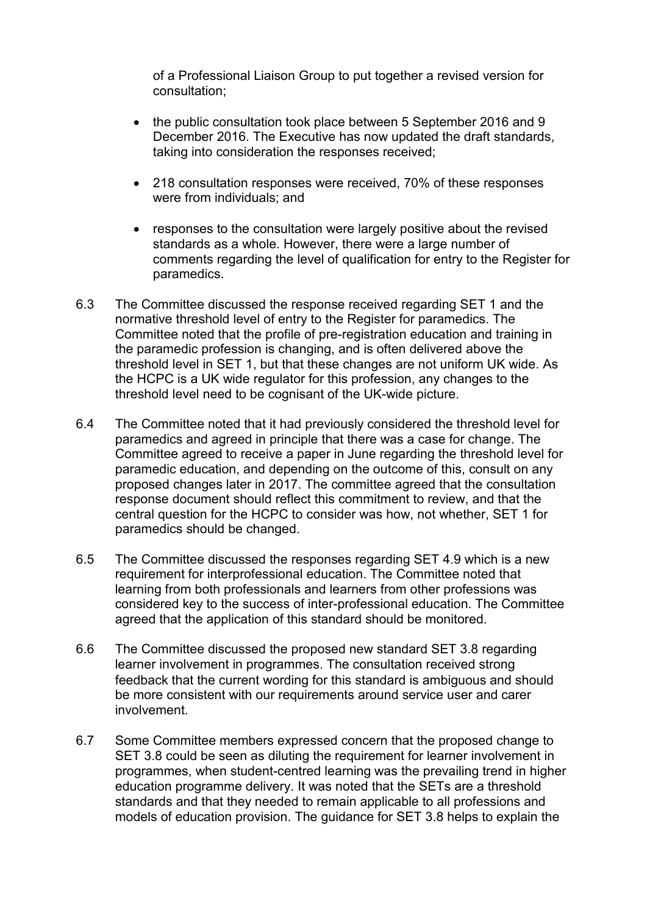of a Professional Liaison Group to put together a revised version for consultation;

- the public consultation took place between 5 September 2016 and 9 December 2016. The Executive has now updated the draft standards, taking into consideration the responses received;
- 218 consultation responses were received, 70% of these responses were from individuals; and
- responses to the consultation were largely positive about the revised standards as a whole. However, there were a large number of comments regarding the level of qualification for entry to the Register for paramedics.
- 6.3 The Committee discussed the response received regarding SET 1 and the normative threshold level of entry to the Register for paramedics. The Committee noted that the profile of pre-registration education and training in the paramedic profession is changing, and is often delivered above the threshold level in SET 1, but that these changes are not uniform UK wide. As the HCPC is a UK wide regulator for this profession, any changes to the threshold level need to be cognisant of the UK-wide picture.
- 6.4 The Committee noted that it had previously considered the threshold level for paramedics and agreed in principle that there was a case for change. The Committee agreed to receive a paper in June regarding the threshold level for paramedic education, and depending on the outcome of this, consult on any proposed changes later in 2017. The committee agreed that the consultation response document should reflect this commitment to review, and that the central question for the HCPC to consider was how, not whether, SET 1 for paramedics should be changed.
- 6.5 The Committee discussed the responses regarding SET 4.9 which is a new requirement for interprofessional education. The Committee noted that learning from both professionals and learners from other professions was considered key to the success of inter-professional education. The Committee agreed that the application of this standard should be monitored.
- 6.6 The Committee discussed the proposed new standard SET 3.8 regarding learner involvement in programmes. The consultation received strong feedback that the current wording for this standard is ambiguous and should be more consistent with our requirements around service user and carer involvement.
- 6.7 Some Committee members expressed concern that the proposed change to SET 3.8 could be seen as diluting the requirement for learner involvement in programmes, when student-centred learning was the prevailing trend in higher education programme delivery. It was noted that the SETs are a threshold standards and that they needed to remain applicable to all professions and models of education provision. The guidance for SET 3.8 helps to explain the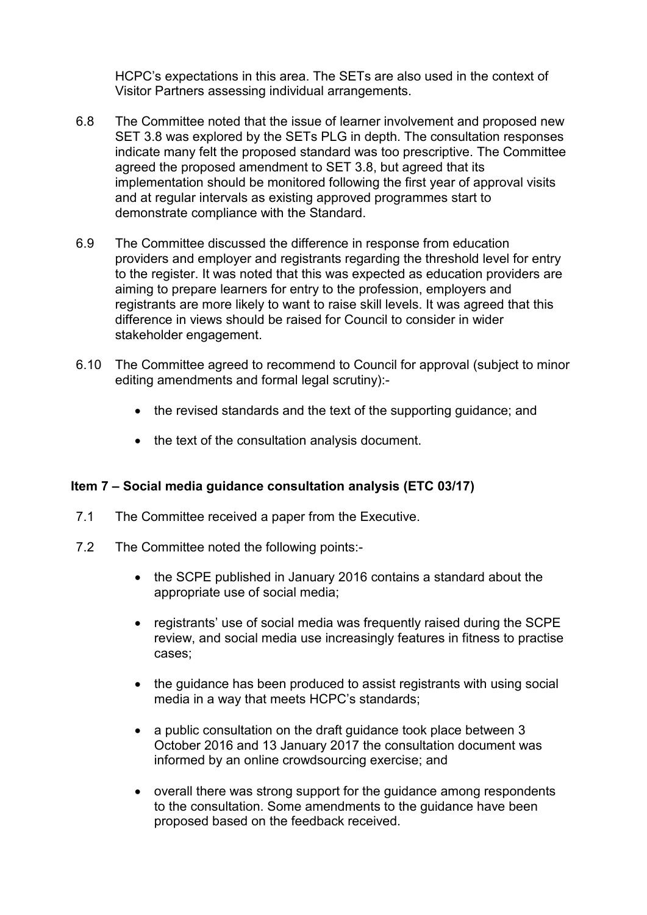HCPC's expectations in this area. The SETs are also used in the context of Visitor Partners assessing individual arrangements.

- 6.8 The Committee noted that the issue of learner involvement and proposed new SET 3.8 was explored by the SETs PLG in depth. The consultation responses indicate many felt the proposed standard was too prescriptive. The Committee agreed the proposed amendment to SET 3.8, but agreed that its implementation should be monitored following the first year of approval visits and at regular intervals as existing approved programmes start to demonstrate compliance with the Standard.
- 6.9 The Committee discussed the difference in response from education providers and employer and registrants regarding the threshold level for entry to the register. It was noted that this was expected as education providers are aiming to prepare learners for entry to the profession, employers and registrants are more likely to want to raise skill levels. It was agreed that this difference in views should be raised for Council to consider in wider stakeholder engagement.
- 6.10 The Committee agreed to recommend to Council for approval (subject to minor editing amendments and formal legal scrutiny):-
	- the revised standards and the text of the supporting quidance; and
	- the text of the consultation analysis document.

# **Item 7 – Social media guidance consultation analysis (ETC 03/17)**

- 7.1 The Committee received a paper from the Executive.
- 7.2 The Committee noted the following points:-
	- the SCPE published in January 2016 contains a standard about the appropriate use of social media;
	- registrants' use of social media was frequently raised during the SCPE review, and social media use increasingly features in fitness to practise cases;
	- the guidance has been produced to assist registrants with using social media in a way that meets HCPC's standards;
	- a public consultation on the draft guidance took place between 3 October 2016 and 13 January 2017 the consultation document was informed by an online crowdsourcing exercise; and
	- overall there was strong support for the guidance among respondents to the consultation. Some amendments to the guidance have been proposed based on the feedback received.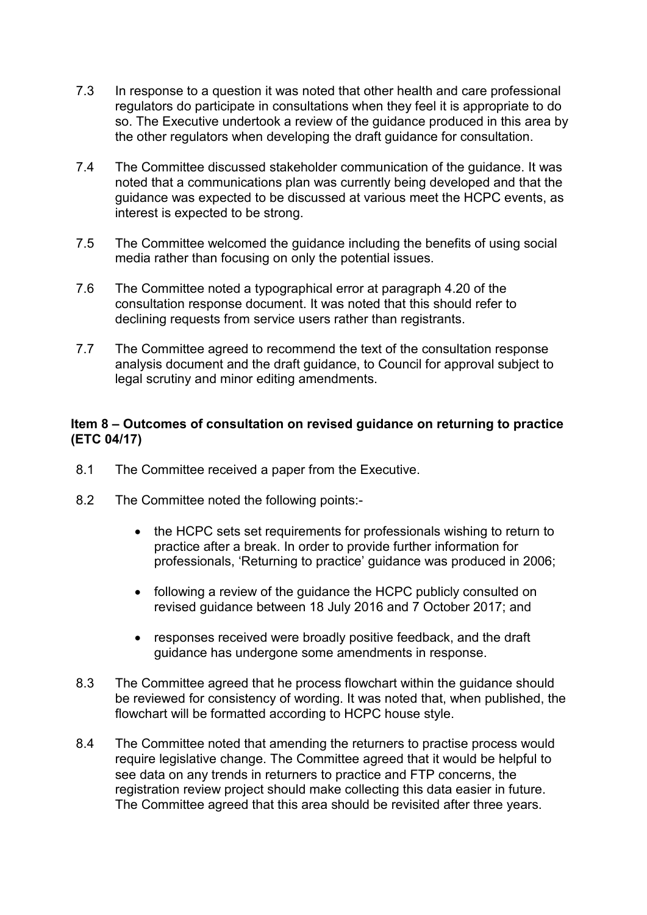- 7.3 In response to a question it was noted that other health and care professional regulators do participate in consultations when they feel it is appropriate to do so. The Executive undertook a review of the guidance produced in this area by the other regulators when developing the draft guidance for consultation.
- 7.4 The Committee discussed stakeholder communication of the guidance. It was noted that a communications plan was currently being developed and that the guidance was expected to be discussed at various meet the HCPC events, as interest is expected to be strong.
- 7.5 The Committee welcomed the guidance including the benefits of using social media rather than focusing on only the potential issues.
- 7.6 The Committee noted a typographical error at paragraph 4.20 of the consultation response document. It was noted that this should refer to declining requests from service users rather than registrants.
- 7.7 The Committee agreed to recommend the text of the consultation response analysis document and the draft guidance, to Council for approval subject to legal scrutiny and minor editing amendments.

#### **Item 8 – Outcomes of consultation on revised guidance on returning to practice (ETC 04/17)**

- 8.1 The Committee received a paper from the Executive.
- 8.2 The Committee noted the following points:-
	- the HCPC sets set requirements for professionals wishing to return to practice after a break. In order to provide further information for professionals, 'Returning to practice' guidance was produced in 2006;
	- following a review of the guidance the HCPC publicly consulted on revised guidance between 18 July 2016 and 7 October 2017; and
	- responses received were broadly positive feedback, and the draft guidance has undergone some amendments in response.
- 8.3 The Committee agreed that he process flowchart within the guidance should be reviewed for consistency of wording. It was noted that, when published, the flowchart will be formatted according to HCPC house style.
- 8.4 The Committee noted that amending the returners to practise process would require legislative change. The Committee agreed that it would be helpful to see data on any trends in returners to practice and FTP concerns, the registration review project should make collecting this data easier in future. The Committee agreed that this area should be revisited after three years.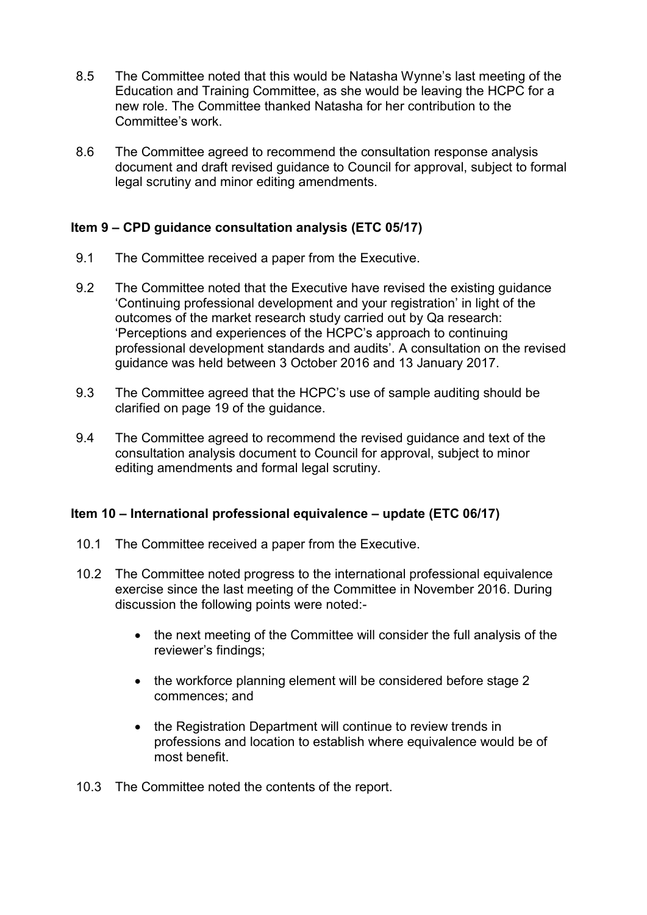- 8.5 The Committee noted that this would be Natasha Wynne's last meeting of the Education and Training Committee, as she would be leaving the HCPC for a new role. The Committee thanked Natasha for her contribution to the Committee's work.
- 8.6 The Committee agreed to recommend the consultation response analysis document and draft revised guidance to Council for approval, subject to formal legal scrutiny and minor editing amendments.

# **Item 9 – CPD guidance consultation analysis (ETC 05/17)**

- 9.1 The Committee received a paper from the Executive.
- 9.2 The Committee noted that the Executive have revised the existing guidance 'Continuing professional development and your registration' in light of the outcomes of the market research study carried out by Qa research: 'Perceptions and experiences of the HCPC's approach to continuing professional development standards and audits'. A consultation on the revised guidance was held between 3 October 2016 and 13 January 2017.
- 9.3 The Committee agreed that the HCPC's use of sample auditing should be clarified on page 19 of the guidance.
- 9.4 The Committee agreed to recommend the revised guidance and text of the consultation analysis document to Council for approval, subject to minor editing amendments and formal legal scrutiny.

#### **Item 10 – International professional equivalence – update (ETC 06/17)**

- 10.1 The Committee received a paper from the Executive.
- 10.2 The Committee noted progress to the international professional equivalence exercise since the last meeting of the Committee in November 2016. During discussion the following points were noted:-
	- the next meeting of the Committee will consider the full analysis of the reviewer's findings;
	- the workforce planning element will be considered before stage 2 commences; and
	- the Registration Department will continue to review trends in professions and location to establish where equivalence would be of most benefit.
- 10.3 The Committee noted the contents of the report.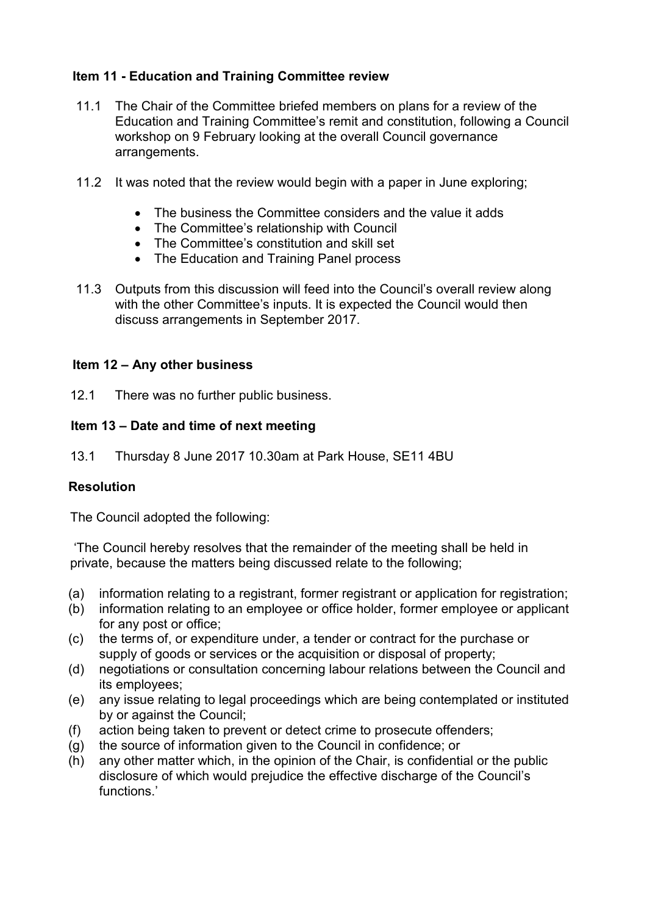# **Item 11 - Education and Training Committee review**

- 11.1 The Chair of the Committee briefed members on plans for a review of the Education and Training Committee's remit and constitution, following a Council workshop on 9 February looking at the overall Council governance arrangements.
- 11.2 It was noted that the review would begin with a paper in June exploring;
	- The business the Committee considers and the value it adds
	- The Committee's relationship with Council
	- The Committee's constitution and skill set
	- The Education and Training Panel process
- 11.3 Outputs from this discussion will feed into the Council's overall review along with the other Committee's inputs. It is expected the Council would then discuss arrangements in September 2017.

# **Item 12 – Any other business**

12.1 There was no further public business.

# **Item 13 – Date and time of next meeting**

13.1 Thursday 8 June 2017 10.30am at Park House, SE11 4BU

# **Resolution**

The Council adopted the following:

'The Council hereby resolves that the remainder of the meeting shall be held in private, because the matters being discussed relate to the following;

- (a) information relating to a registrant, former registrant or application for registration;
- (b) information relating to an employee or office holder, former employee or applicant for any post or office;
- (c) the terms of, or expenditure under, a tender or contract for the purchase or supply of goods or services or the acquisition or disposal of property;
- (d) negotiations or consultation concerning labour relations between the Council and its employees;
- (e) any issue relating to legal proceedings which are being contemplated or instituted by or against the Council;
- (f) action being taken to prevent or detect crime to prosecute offenders;
- (g) the source of information given to the Council in confidence; or
- (h) any other matter which, in the opinion of the Chair, is confidential or the public disclosure of which would prejudice the effective discharge of the Council's functions.'